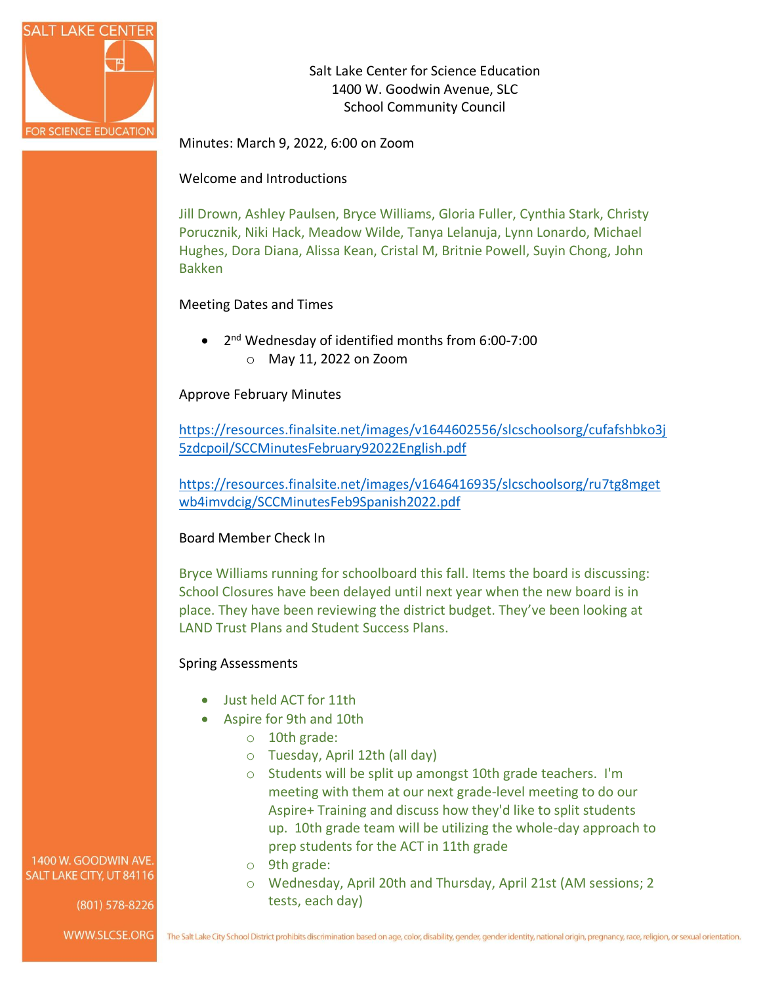

Salt Lake Center for Science Education 1400 W. Goodwin Avenue, SLC School Community Council

Minutes: March 9, 2022, 6:00 on Zoom

Welcome and Introductions

Jill Drown, Ashley Paulsen, Bryce Williams, Gloria Fuller, Cynthia Stark, Christy Porucznik, Niki Hack, Meadow Wilde, Tanya Lelanuja, Lynn Lonardo, Michael Hughes, Dora Diana, Alissa Kean, Cristal M, Britnie Powell, Suyin Chong, John Bakken

# Meeting Dates and Times

• 2<sup>nd</sup> Wednesday of identified months from 6:00-7:00 o May 11, 2022 on Zoom

# Approve February Minutes

[https://resources.finalsite.net/images/v1644602556/slcschoolsorg/cufafshbko3j](https://resources.finalsite.net/images/v1644602556/slcschoolsorg/cufafshbko3j5zdcpoil/SCCMinutesFebruary92022English.pdf) [5zdcpoil/SCCMinutesFebruary92022English.pdf](https://resources.finalsite.net/images/v1644602556/slcschoolsorg/cufafshbko3j5zdcpoil/SCCMinutesFebruary92022English.pdf)

[https://resources.finalsite.net/images/v1646416935/slcschoolsorg/ru7tg8mget](https://resources.finalsite.net/images/v1646416935/slcschoolsorg/ru7tg8mgetwb4imvdcig/SCCMinutesFeb9Spanish2022.pdf) [wb4imvdcig/SCCMinutesFeb9Spanish2022.pdf](https://resources.finalsite.net/images/v1646416935/slcschoolsorg/ru7tg8mgetwb4imvdcig/SCCMinutesFeb9Spanish2022.pdf)

# Board Member Check In

Bryce Williams running for schoolboard this fall. Items the board is discussing: School Closures have been delayed until next year when the new board is in place. They have been reviewing the district budget. They've been looking at LAND Trust Plans and Student Success Plans.

# Spring Assessments

- Just held ACT for 11th
- Aspire for 9th and 10th
	- o 10th grade:
	- o Tuesday, April 12th (all day)
	- o Students will be split up amongst 10th grade teachers. I'm meeting with them at our next grade-level meeting to do our Aspire+ Training and discuss how they'd like to split students up. 10th grade team will be utilizing the whole-day approach to prep students for the ACT in 11th grade
	- o 9th grade:
	- o Wednesday, April 20th and Thursday, April 21st (AM sessions; 2 tests, each day)

1400 W. GOODWIN AVE. SALT LAKE CITY, UT 84116

 $(801)$  578-8226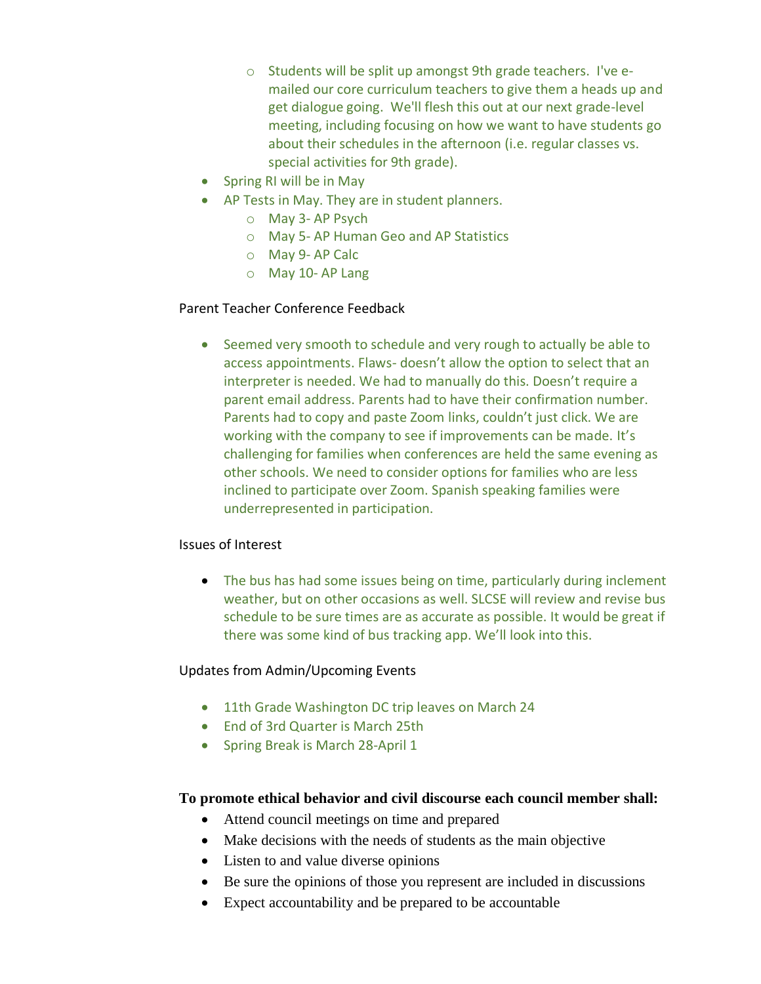- o Students will be split up amongst 9th grade teachers. I've emailed our core curriculum teachers to give them a heads up and get dialogue going. We'll flesh this out at our next grade-level meeting, including focusing on how we want to have students go about their schedules in the afternoon (i.e. regular classes vs. special activities for 9th grade).
- Spring RI will be in May
- AP Tests in May. They are in student planners.
	- o May 3- AP Psych
	- o May 5- AP Human Geo and AP Statistics
	- o May 9- AP Calc
	- o May 10- AP Lang

# Parent Teacher Conference Feedback

• Seemed very smooth to schedule and very rough to actually be able to access appointments. Flaws- doesn't allow the option to select that an interpreter is needed. We had to manually do this. Doesn't require a parent email address. Parents had to have their confirmation number. Parents had to copy and paste Zoom links, couldn't just click. We are working with the company to see if improvements can be made. It's challenging for families when conferences are held the same evening as other schools. We need to consider options for families who are less inclined to participate over Zoom. Spanish speaking families were underrepresented in participation.

# Issues of Interest

• The bus has had some issues being on time, particularly during inclement weather, but on other occasions as well. SLCSE will review and revise bus schedule to be sure times are as accurate as possible. It would be great if there was some kind of bus tracking app. We'll look into this.

# Updates from Admin/Upcoming Events

- 11th Grade Washington DC trip leaves on March 24
- End of 3rd Quarter is March 25th
- Spring Break is March 28-April 1

# **To promote ethical behavior and civil discourse each council member shall:**

- Attend council meetings on time and prepared
- Make decisions with the needs of students as the main objective
- Listen to and value diverse opinions
- Be sure the opinions of those you represent are included in discussions
- Expect accountability and be prepared to be accountable